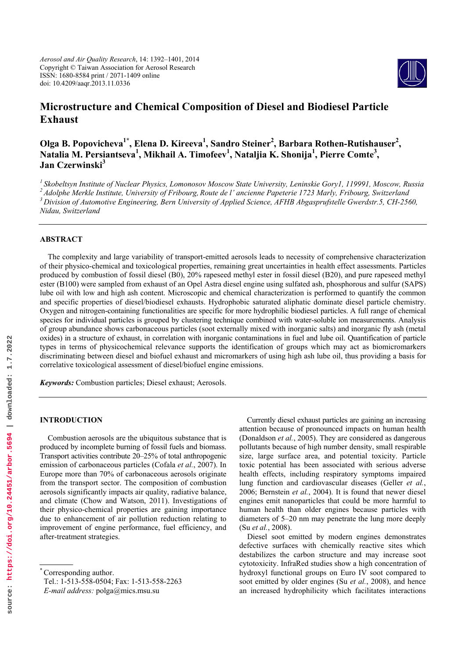

# **Microstructure and Chemical Composition of Diesel and Biodiesel Particle Exhaust**

# Olga B. Popovicheva<sup>1\*</sup>, Elena D. Kireeva<sup>1</sup>, Sandro Steiner<sup>2</sup>, Barbara Rothen-Rutishauser<sup>2</sup>, **Natalia M. Persiantseva<sup>1</sup> , Mikhail A. Timofeev<sup>1</sup> , Nataljia K. Shonija1 , Pierre Comte<sup>3</sup> , Jan Czerwinski3**

<sup>1</sup> Skobeltsyn Institute of Nuclear Physics, Lomonosov Moscow State University, Leninskie Gory1, 119991, Moscow, Russia<br><sup>2</sup> Adolphe Merkle Institute, University of Fribourg, Route de l' ancienne Papeterie 1723 Marly, Frib *Nidau, Switzerland* 

# **ABSTRACT**

The complexity and large variability of transport-emitted aerosols leads to necessity of comprehensive characterization of their physico-chemical and toxicological properties, remaining great uncertainties in health effect assessments. Particles produced by combustion of fossil diesel (B0), 20% rapeseed methyl ester in fossil diesel (B20), and pure rapeseed methyl ester (B100) were sampled from exhaust of an Opel Astra diesel engine using sulfated ash, phosphorous and sulfur (SAPS) lube oil with low and high ash content. Microscopic and chemical characterization is performed to quantify the common and specific properties of diesel/biodiesel exhausts. Hydrophobic saturated aliphatic dominate diesel particle chemistry. Oxygen and nitrogen-containing functionalities are specific for more hydrophilic biodiesel particles. A full range of chemical species for individual particles is grouped by clustering technique combined with water-soluble ion measurements. Analysis of group abundance shows carbonaceous particles (soot externally mixed with inorganic salts) and inorganic fly ash (metal oxides) in a structure of exhaust, in correlation with inorganic contaminations in fuel and lube oil. Quantification of particle types in terms of physicochemical relevance supports the identification of groups which may act as biomicromarkers discriminating between diesel and biofuel exhaust and micromarkers of using high ash lube oil, thus providing a basis for correlative toxicological assessment of diesel/biofuel engine emissions.

*Keywords:* Combustion particles; Diesel exhaust; Aerosols.

# **INTRODUCTION**

Combustion aerosols are the ubiquitous substance that is produced by incomplete burning of fossil fuels and biomass. Transport activities contribute 20–25% of total anthropogenic emission of carbonaceous particles (Cofala *et al.*, 2007). In Europe more than 70% of carbonaceous aerosols originate from the transport sector. The composition of combustion aerosols significantly impacts air quality, radiative balance, and climate (Chow and Watson, 2011). Investigations of their physico-chemical properties are gaining importance due to enhancement of air pollution reduction relating to improvement of engine performance, fuel efficiency, and after-treatment strategies.

Tel.: 1-513-558-0504; Fax: 1-513-558-2263

Currently diesel exhaust particles are gaining an increasing attention because of pronounced impacts on human health (Donaldson *et al.*, 2005). They are considered as dangerous pollutants because of high number density, small respirable size, large surface area, and potential toxicity. Particle toxic potential has been associated with serious adverse health effects, including respiratory symptoms impaired lung function and cardiovascular diseases (Geller *et al.*, 2006; Bernstein *et al.*, 2004). It is found that newer diesel engines emit nanoparticles that could be more harmful to human health than older engines because particles with diameters of 5–20 nm may penetrate the lung more deeply (Su *et al.*, 2008).

Diesel soot emitted by modern engines demonstrates defective surfaces with chemically reactive sites which destabilizes the carbon structure and may increase soot cytotoxicity. InfraRed studies show a high concentration of hydroxyl functional groups on Euro IV soot compared to soot emitted by older engines (Su *et al.*, 2008), and hence an increased hydrophilicity which facilitates interactions

Corresponding author.

*E-mail address:* polga@mics.msu.su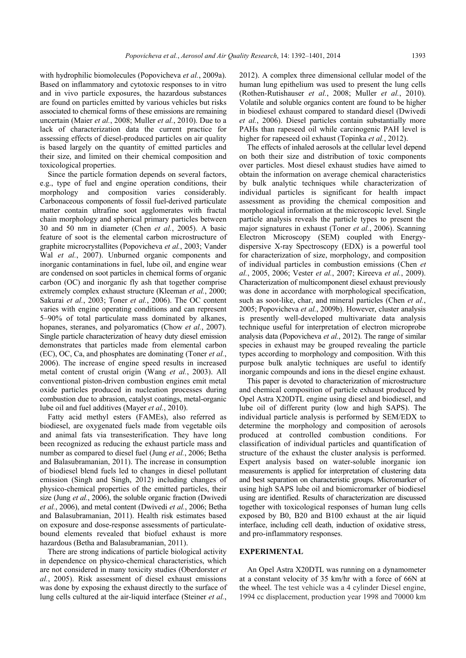with hydrophilic biomolecules (Popovicheva *et al.*, 2009a). Based on inflammatory and cytotoxic responses to in vitro and in vivo particle exposures, the hazardous substances are found on particles emitted by various vehicles but risks associated to chemical forms of these emissions are remaining uncertain (Maier *et al.*, 2008; Muller *et al.*, 2010). Due to a lack of characterization data the current practice for assessing effects of diesel-produced particles on air quality

toxicological properties. Since the particle formation depends on several factors, e.g., type of fuel and engine operation conditions, their morphology and composition varies considerably. Carbonaceous components of fossil fuel-derived particulate matter contain ultrafine soot agglomerates with fractal chain morphology and spherical primary particles between 30 and 50 nm in diameter (Chen *et al.*, 2005). A basic feature of soot is the elemental carbon microstructure of graphite microcrystallites (Popovicheva *et al.*, 2003; Vander Wal *et al.*, 2007). Unburned organic components and inorganic contaminations in fuel, lube oil, and engine wear are condensed on soot particles in chemical forms of organic carbon (OC) and inorganic fly ash that together comprise extremely complex exhaust structure (Kleeman *et al.*, 2000; Sakurai *et al.*, 2003; Toner *et al.*, 2006). The OC content varies with engine operating conditions and can represent 5–90% of total particulate mass dominated by alkanes, hopanes, steranes, and polyaromatics (Chow *et al.*, 2007). Single particle characterization of heavy duty diesel emission demonstrates that particles made from elemental carbon (EC), OC, Ca, and phosphates are dominating (Toner *et al.*, 2006). The increase of engine speed results in increased metal content of crustal origin (Wang *et al.*, 2003). All conventional piston-driven combustion engines emit metal oxide particles produced in nucleation processes during combustion due to abrasion, catalyst coatings, metal-organic lube oil and fuel additives (Mayer *et al.*, 2010).

is based largely on the quantity of emitted particles and their size, and limited on their chemical composition and

Fatty acid methyl esters (FAMEs), also referred as biodiesel, are oxygenated fuels made from vegetable oils and animal fats via transesterification. They have long been recognized as reducing the exhaust particle mass and number as compared to diesel fuel (Jung *et al.*, 2006; Betha and Balasubramanian, 2011). The increase in consumption of biodiesel blend fuels led to changes in diesel pollutant emission (Singh and Singh, 2012) including changes of physico-chemical properties of the emitted particles, their size (Jung *et al.*, 2006), the soluble organic fraction (Dwivedi *et al.*, 2006), and metal content (Dwivedi *et al.*, 2006; Betha and Balasubramanian, 2011). Health risk estimates based on exposure and dose-response assessments of particulatebound elements revealed that biofuel exhaust is more hazardous (Betha and Balasubramanian, 2011).

There are strong indications of particle biological activity in dependence on physico-chemical characteristics, which are not considered in many toxicity studies (Oberdorster *et al.*, 2005). Risk assessment of diesel exhaust emissions was done by exposing the exhaust directly to the surface of lung cells cultured at the air-liquid interface (Steiner *et al.*,

2012). A complex three dimensional cellular model of the human lung epithelium was used to present the lung cells (Rothen-Rutishauser *et al.*, 2008; Muller *et al.*, 2010). Volatile and soluble organics content are found to be higher in biodiesel exhaust compared to standard diesel (Dwivedi *et al.*, 2006). Diesel particles contain substantially more PAHs than rapeseed oil while carcinogenic PAH level is higher for rapeseed oil exhaust (Topinka *et al.*, 2012).

The effects of inhaled aerosols at the cellular level depend on both their size and distribution of toxic components over particles. Most diesel exhaust studies have aimed to obtain the information on average chemical characteristics by bulk analytic techniques while characterization of individual particles is significant for health impact assessment as providing the chemical composition and morphological information at the microscopic level. Single particle analysis reveals the particle types to present the major signatures in exhaust (Toner *et al.*, 2006). Scanning Electron Microscopy (SEM) coupled with Energydispersive X-ray Spectroscopy (EDX) is a powerful tool for characterization of size, morphology, and composition of individual particles in combustion emissions (Chen *et al.*, 2005, 2006; Vester *et al.*, 2007; Kireeva *et al.*, 2009). Characterization of multicomponent diesel exhaust previously was done in accordance with morphological specification, such as soot-like, char, and mineral particles (Chen *et al.*, 2005; Popovicheva *et al.*, 2009b). However, cluster analysis is presently well-developed multivariate data analysis technique useful for interpretation of electron microprobe analysis data (Popovicheva *et al.*, 2012). The range of similar species in exhaust may be grouped revealing the particle types according to morphology and composition. With this purpose bulk analytic techniques are useful to identify inorganic compounds and ions in the diesel engine exhaust.

This paper is devoted to characterization of microstructure and chemical composition of particle exhaust produced by Opel Astra X20DTL engine using diesel and biodiesel, and lube oil of different purity (low and high SAPS). The individual particle analysis is performed by SEM/EDX to determine the morphology and composition of aerosols produced at controlled combustion conditions. For classification of individual particles and quantification of structure of the exhaust the cluster analysis is performed. Expert analysis based on water-soluble inorganic ion measurements is applied for interpretation of clustering data and best separation on characteristic groups. Micromarker of using high SAPS lube oil and biomicromarker of biodiesel using are identified. Results of characterization are discussed together with toxicological responses of human lung cells exposed by B0, B20 and B100 exhaust at the air liquid interface, including cell death, induction of oxidative stress, and pro-inflammatory responses.

## **EXPERIMENTAL**

An Opel Astra X20DTL was running on a dynamometer at a constant velocity of 35 km/hr with a force of 66N at the wheel. The test vehicle was a 4 cylinder Diesel engine, 1994 cc displacement, production year 1998 and 70000 km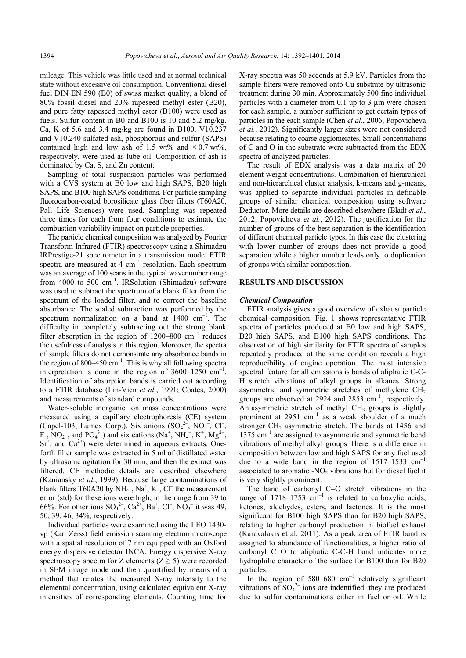mileage. This vehicle was little used and at normal technical state without excessive oil consumption. Conventional diesel fuel DIN EN 590 (B0) of swiss market quality, a blend of 80% fossil diesel and 20% rapeseed methyl ester (B20), and pure fatty rapeseed methyl ester (B100) were used as fuels. Sulfur content in B0 and B100 is 10 and 5.2 mg/kg. Ca, K of 5.6 and 3.4 mg/kg are found in B100. V10.237 and V10.240 sulfated ash, phosphorous and sulfur (SAPS) contained high and low ash of 1.5 wt% and  $\leq 0.7$  wt%, respectively, were used as lube oil. Composition of ash is dominated by Ca, S, and Zn content.

Sampling of total suspension particles was performed with a CVS system at B0 low and high SAPS, B20 high SAPS, and B100 high SAPS conditions. For particle sampling fluorocarbon-coated borosilicate glass fiber filters (T60A20, Pall Life Sciences) were used. Sampling was repeated three times for each from four conditions to estimate the combustion variability impact on particle properties.

The particle chemical composition was analyzed by Fourier Transform Infrared (FTIR) spectroscopy using a Shimadzu IRPrestige-21 spectrometer in a transmission mode. FTIR spectra are measured at  $4 \text{ cm}^{-1}$  resolution. Each spectrum was an average of 100 scans in the typical wavenumber range from 4000 to 500  $cm^{-1}$ . IRSolution (Shimadzu) software was used to subtract the spectrum of a blank filter from the spectrum of the loaded filter, and to correct the baseline absorbance. The scaled subtraction was performed by the spectrum normalization on a band at  $1400 \text{ cm}^{-1}$ . The difficulty in completely subtracting out the strong blank filter absorption in the region of  $1200-800$  cm<sup>-1</sup> reduces the usefulness of analysis in this region. Moreover, the spectra of sample filters do not demonstrate any absorbance bands in the region of  $800-450$   $cm^{-1}$ . This is why all following spectra interpretation is done in the region of  $3600-1250$  cm<sup>-1</sup>. Identification of absorption bands is carried out according to a FTIR database (Lin-Vien *et al.*, 1991; Coates, 2000) and measurements of standard compounds.

Water-soluble inorganic ion mass concentrations were measured using a capillary electrophoresis (CE) system (Capel-103, Lumex Corp.). Six anions  $(SO<sub>4</sub><sup>2</sup>$ , NO<sub>3</sub><sup>-</sup>, Cl<sup>-</sup>,  $\overline{F}$ ,  $\overline{NO_2}$ , and  $\overline{PO_4}$ <sup>3</sup>) and six cations ( $\overline{Na}^+$ ,  $\overline{NH_4}^+$ ,  $\overline{K}^+$ ,  $\overline{Mg}^{2+}$ ,  $Sr<sup>+</sup>$ , and  $Ca<sup>2+</sup>$ ) were determined in aqueous extracts. Oneforth filter sample was extracted in 5 ml of distillated water by ultrasonic agitation for 30 min, and then the extract was filtered. CE methodic details are described elsewhere (Kaniansky *et al.*, 1999). Because large contaminations of blank filters T60A20 by  $NH_4^+$ , Na<sup>+</sup>, K<sup>+</sup>, Cl<sup>-</sup> the measurement error (std) for these ions were high, in the range from 39 to 66%. For other ions  $SO_4^{2-}$ ,  $Ca^{2+}$ ,  $Ba^+$ ,  $Cl^-$ ,  $NO_3^-$  it was 49, 50, 39, 46, 34%, respectively.

Individual particles were examined using the LEO 1430 vp (Karl Zeiss) field emission scanning electron microscope with a spatial resolution of 7 nm equipped with an Oxford energy dispersive detector INCA. Energy dispersive X-ray spectroscopy spectra for Z elements ( $Z \ge 5$ ) were recorded in SEM image mode and then quantified by means of a method that relates the measured X-ray intensity to the elemental concentration, using calculated equivalent X-ray intensities of corresponding elements. Counting time for X-ray spectra was 50 seconds at 5.9 kV. Particles from the sample filters were removed onto Cu substrate by ultrasonic treatment during 30 min. Approximately 500 fine individual particles with a diameter from  $0.1$  up to  $3 \mu$ m were chosen for each sample, a number sufficient to get certain types of particles in the each sample (Chen *et al.*, 2006; Popovicheva *et al.*, 2012). Significantly larger sizes were not considered because relating to coarse agglomerates. Small concentrations of C and O in the substrate were subtracted from the EDX spectra of analyzed particles.

The result of EDX analysis was a data matrix of 20 element weight concentrations. Combination of hierarchical and non-hierarchical cluster analysis, k-means and g-means, was applied to separate individual particles in definable groups of similar chemical composition using software Deductor. More details are described elsewhere (Bladt *et al.*, 2012; Popovicheva *et al.*, 2012). The justification for the number of groups of the best separation is the identification of different chemical particle types. In this case the clustering with lower number of groups does not provide a good separation while a higher number leads only to duplication of groups with similar composition.

## **RESULTS AND DISCUSSION**

#### *Chemical Composition*

FTIR analysis gives a good overview of exhaust particle chemical composition. Fig. 1 shows representative FTIR spectra of particles produced at B0 low and high SAPS, B20 high SAPS, and B100 high SAPS conditions. The observation of high similarity for FTIR spectra of samples repeatedly produced at the same condition reveals a high reproducibility of engine operation. The most intensive spectral feature for all emissions is bands of aliphatic C-C-H stretch vibrations of alkyl groups in alkanes. Strong asymmetric and symmetric stretches of methylene CH<sub>2</sub> groups are observed at  $2924$  and  $2853$  cm<sup>-1</sup>, respectively. An asymmetric stretch of methyl  $CH<sub>3</sub>$  groups is slightly prominent at  $2951 \text{ cm}^{-1}$  as a weak shoulder of a much stronger  $CH<sub>2</sub>$  asymmetric stretch. The bands at 1456 and  $1375$  cm<sup>-1</sup> are assigned to asymmetric and symmetric bend vibrations of methyl alkyl groups. There is a difference in composition between low and high SAPS for any fuel used due to a wide band in the region of  $1517-1533$  cm<sup>-1</sup> associated to aromatic  $-NO<sub>2</sub>$  vibrations but for diesel fuel it is very slightly prominent.

The band of carbonyl C=O stretch vibrations in the range of  $1718-1753$  cm<sup>-1</sup> is related to carboxylic acids, ketones, aldehydes, esters, and lactones. It is the most significant for B100 high SAPS than for B20 high SAPS, relating to higher carbonyl production in biofuel exhaust (Karavalakis et al, 2011). As a peak area of FTIR band is assigned to abundance of functionalities, a higher ratio of carbonyl C=O to aliphatic C-C-H band indicates more hydrophilic character of the surface for B100 than for B20 particles.

In the region of  $580-680$  cm<sup>-1</sup> relatively significant vibrations of  $SO_4^2$  ions are indentified, they are produced due to sulfur contaminations either in fuel or oil. While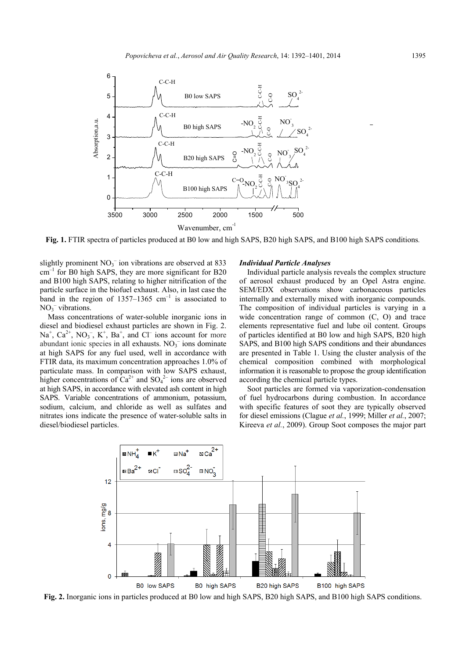

**Fig. 1.** FTIR spectra of particles produced at B0 low and high SAPS, B20 high SAPS, and B100 high SAPS conditions*.* 

slightly prominent  $NO<sub>3</sub><sup>-</sup>$  ion vibrations are observed at 833  $cm^{-1}$  for B0 high SAPS, they are more significant for B20 and B100 high SAPS, relating to higher nitrification of the particle surface in the biofuel exhaust. Also, in last case the band in the region of  $1357-1365$  cm<sup>-1</sup> is associated to  $NO<sub>3</sub><sup>-</sup> vibrations.$ 

Mass concentrations of water-soluble inorganic ions in diesel and biodiesel exhaust particles are shown in Fig. 2.  $Na<sup>+</sup>, Ca<sup>2+</sup>, NO<sub>3</sub><sup>-</sup>, K<sup>+</sup>, Ba<sup>+</sup>, and Cl<sup>-</sup> ions account for more$ abundant ionic species in all exhausts.  $NO<sub>3</sub><sup>-</sup>$  ions dominate at high SAPS for any fuel used, well in accordance with FTIR data, its maximum concentration approaches 1.0% of particulate mass. In comparison with low SAPS exhaust, higher concentrations of  $Ca^{2+}$  and  $SO_4^{2-}$  ions are observed at high SAPS, in accordance with elevated ash content in high SAPS. Variable concentrations of ammonium, potassium, sodium, calcium, and chloride as well as sulfates and nitrates ions indicate the presence of water-soluble salts in diesel/biodiesel particles.

## *Individual Particle Analyses*

Individual particle analysis reveals the complex structure of aerosol exhaust produced by an Opel Astra engine. SEM/EDX observations show carbonaceous particles internally and externally mixed with inorganic compounds. The composition of individual particles is varying in a wide concentration range of common (C, O) and trace elements representative fuel and lube oil content. Groups of particles identified at B0 low and high SAPS, B20 high SAPS, and B100 high SAPS conditions and their abundances are presented in Table 1. Using the cluster analysis of the chemical composition combined with morphological information it is reasonable to propose the group identification according the chemical particle types.

Soot particles are formed via vaporization-condensation of fuel hydrocarbons during combustion. In accordance with specific features of soot they are typically observed for diesel emissions (Clague *et al.*, 1999; Miller *et al.*, 2007; Kireeva *et al.*, 2009). Group Soot composes the major part



**Fig. 2.** Inorganic ions in particles produced at B0 low and high SAPS, B20 high SAPS, and B100 high SAPS conditions.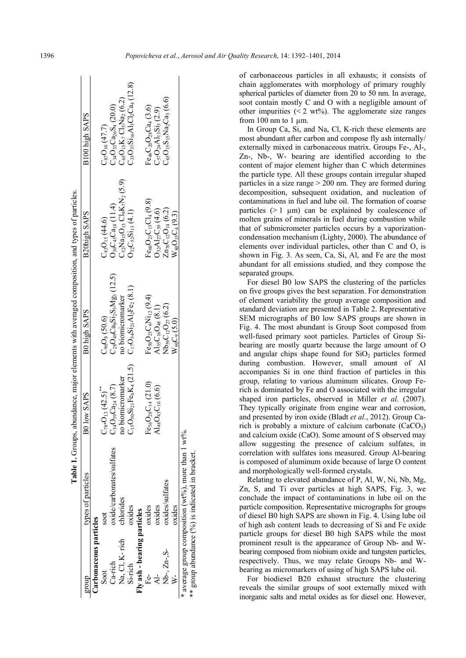|              | Table 1. Groups, abundance,                        | major elements with averaged composition, and types of particles.        |                                                                      |                                                                   |  |
|--------------|----------------------------------------------------|--------------------------------------------------------------------------|----------------------------------------------------------------------|-------------------------------------------------------------------|--|
|              | B0 low SAPS                                        | B0 high SAPS                                                             | B20high SAPS                                                         | B100 high SAPS                                                    |  |
|              | $*$<br>$C_{78*}O_{13}$ (42.5)                      | $C_{90}\mathrm{O}_8\ (50.6)$                                             | $C_{83}O_{15}$ (44.6)                                                | $C_{87}O_{10}$ (47.7)                                             |  |
| tes/sulfates | narker<br>$C_{34}O_{39}Ca_{24}$ (8<br>no biomicron | $C_{28}O_{49}Ca_8Si_2S_3Mg_3(12.5)$<br>no biomicromarker                 | $C_{52}Na_{15}O_{13}Cl_9K_7N_2(5.9)$<br>$D_{30}C_{45}Ca_{18}$ (11.4) | $C_{65}O_{15}K_7 Cl_5Na_2(6.2)$<br>$C_{34}O_{33}Ca_{26}S_4(20.0)$ |  |
|              |                                                    | $C_{15}O_{50}Si_2_1Fe_6K_4(21.5) \qquad C_{17}O_{54}Si_2_1Al_2Fe_2(8.1)$ | $D_{32}C_{52}Si_{13}(4.1)$                                           | $C_{33}O_{37}Si_{16}Al_3Cl_2Ca_4(12.8)$                           |  |

 $e_{46}C_{20}O_{28}Ca_{4}(3.6)$  $\mathrm{O_{28}Ca_{4}}\,(3.6)$ 

 $O<sub>24</sub>Al<sub>13</sub>Si<sub>3</sub> (2.9)$ 

 $O_{15}S_{15}Na_2Ca_3(6.6)$ 

 $V_{65}O_{15}S_{15}Na_2Ca_3(6.6)$  $C_{57}O_2$ <sub>4</sub>Al<sub>13</sub>Si<sub>3</sub> (2.9)

|                             | types of particles                                                                                                                       | BO low SAPS                                                   | <b>B0 high SAPS</b>                                     | <b>B20high SAPS</b>                                                                            | B100 high SAPS                                                           |
|-----------------------------|------------------------------------------------------------------------------------------------------------------------------------------|---------------------------------------------------------------|---------------------------------------------------------|------------------------------------------------------------------------------------------------|--------------------------------------------------------------------------|
| Carbonaceous particles      |                                                                                                                                          |                                                               |                                                         |                                                                                                |                                                                          |
| Soot                        | soot                                                                                                                                     | $C_{78}$ + $O_{13}$ (42.5) <sup>**</sup>                      | $C_{90}O_8(50.6)$                                       | $C_{83}O_{15}$ (44.6)                                                                          | $C_{87}O_{10}$ (47.7)                                                    |
| $Ca$ -rich                  | oxide/carbonates/sulfates                                                                                                                | $C_{34}O_{39}Ca_{24}(8.7)$                                    | $C_{28}O_{49}Ca_8Si_2S_3Mg_3$ (12.5)                    | $O_{30}C_{45}Ca_{18}$ (11.4)                                                                   |                                                                          |
| Na, Cl, K-rich              | chlorides                                                                                                                                | no biomicromarker                                             | no biomicromarker                                       |                                                                                                | $\rm C_{34}O_{33}Ga_{26}S_4$ (20. $\rm C_{65}O_{15}K_7$ $\rm Cl_5Na_2$ ( |
| Si-rich                     | spixc                                                                                                                                    | $C_{15}O_{50}Si_{21}Fe_6K_4(21.5)$                            | $C_{17}O_{54}Si_{21}Al_2Fe_2(8.1)$                      | C52Na <sub>15</sub> O <sub>13</sub> Cl <sub>9</sub> K7N2 (5.9)<br>O32C52Si <sub>13</sub> (4.1) | $C_{33}O_{37}Si_{16}Al_3Cl_2O$                                           |
| Fly ash - bearing particles |                                                                                                                                          |                                                               |                                                         |                                                                                                |                                                                          |
|                             | oxides                                                                                                                                   | $Fe56O28C14 (21.0)$                                           | $Fe_{50}O_{23}C_6Ni_{12}(9.4)$                          | $Fe_6O_{23}C_{13}Cl_4(9.8)$                                                                    | Fe <sub>46</sub> C <sub>20</sub> O <sub>28</sub> Ca <sub>4</sub> (3.     |
| $\overline{A}$ .            | xides                                                                                                                                    | $\mathrm{Al}_4\mathrm{s}\mathrm{O}_{43}\mathrm{C}_{10}$ (6.6) | $\rm M_3$ ; $\rm C_1$ <sub>6</sub> $\rm O_{48}$ $(8.1)$ | $O32Al27C39$ (4.6)                                                                             | $C_{57}O_2$ 4 $A_{113}S_{13}$ (2.9                                       |
| Nb-, Zn-, S-                | oxides/sulfates                                                                                                                          |                                                               | $Nb_{59}C_{12}O_{27}(6.2)$                              | $Zn_{70}C_{12}O_{14}$ (6.2)                                                                    | $C_{65}O_{15}S_{15}Na_2Ca_3$                                             |
|                             | oxides                                                                                                                                   |                                                               | $W_{90}C_9(5.0)$                                        | $\rm W_{80}O_{15}C_4$ $(9.3)$                                                                  |                                                                          |
|                             | average group composition ( $wt\textdegree{00}$ ), more than 1 wt $\textdegree{00}$ .<br>** group abundance (%) is indicated in bracket. |                                                               |                                                         |                                                                                                |                                                                          |
|                             |                                                                                                                                          |                                                               |                                                         |                                                                                                |                                                                          |

1396 *Popovicheva et al.*, *Aerosol and Air Quality Research*, 14: 1392–1401, 2014

of carbonaceous particles in all exhausts; it consists of chain agglomerates with morphology of primary roughly spherical particles of diameter from 20 to 50 nm. In average, soot contain mostly C and O with a negligible amount of other impurities  $(< 2 w t\%)$ . The agglomerate size ranges from 100 nm to 1  $\mu$ m.

In Group Ca, Si, and Na, Cl, K-rich these elements are most abundant after carbon and compose fly ash internally/ externally mixed in carbonaceous matrix. Groups Fe-, Al-, Zn-, Nb-, W- bearing are identified according to the content of major element higher than C which determines the particle type. All these groups contain irregular shaped particles in a size range > 200 nm. They are formed during decomposition, subsequent oxidation, and nucleation of contaminations in fuel and lube oil. The formation of coarse particles  $(> 1 \text{ µm})$  can be explained by coalescence of molten grains of minerals in fuel during combustion while that of submicrometer particles occurs by a vaporizationcondensation mechanism (Lighty, 2000). The abundance of elements over individual particles, other than C and O, is shown in Fig. 3. As seen, Ca, Si, Al, and Fe are the most abundant for all emissions studied, and they compose the separated groups.

For diesel B0 low SAPS the clustering of the particles on five groups gives the best separation. For demonstration of element variability the group average composition and standard deviation are presented in Table 2. Representative SEM micrographs of B0 low SAPS groups are shown in Fig. 4. The most abundant is Group Soot composed from well-fused primary soot particles. Particles of Group Sibearing are mostly quartz because the large amount of O and angular chips shape found for  $SiO<sub>2</sub>$  particles formed during combustion. However, small amount of Al accompanies Si in one third fraction of particles in this group, relating to various aluminum silicates. Group Ferich is dominated by Fe and O associated with the irregular shaped iron particles, observed in Miller *et al.* (2007). They typically originate from engine wear and corrosion, and presented by iron oxide (Bladt *et al.*, 2012). Group Carich is probably a mixture of calcium carbonate  $(CaCO<sub>3</sub>)$ and calcium oxide (CaO). Some amount of S observed may allow suggesting the presence of calcium sulfates, in correlation with sulfates ions measured. Group Al-bearing is composed of aluminum oxide because of large O content and morphologically well-formed crystals.

Relating to elevated abundance of P, Al, W, Ni, Nb, Mg, Zn, S, and Ti over particles at high SAPS, Fig. 3, we conclude the impact of contaminations in lube oil on the particle composition. Representative micrographs for groups of diesel B0 high SAPS are shown in Fig. 4. Using lube oil of high ash content leads to decreasing of Si and Fe oxide particle groups for diesel B0 high SAPS while the most prominent result is the appearance of Group Nb- and Wbearing composed from niobium oxide and tungsten particles, respectively. Thus, we may relate Groups Nb- and Wbearing as micromarkers of using of high SAPS lube oil.

For biodiesel B20 exhaust structure the clustering reveals the similar groups of soot externally mixed with inorganic salts and metal oxides as for diesel one. However,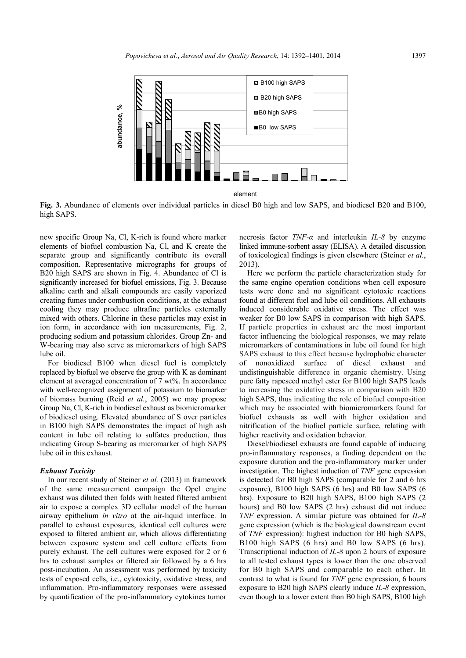

**Fig. 3.** Abundance of elements over individual particles in diesel B0 high and low SAPS, and biodiesel B20 and B100, high SAPS.

new specific Group Na, Cl, K-rich is found where marker elements of biofuel combustion Na, Cl, and K create the separate group and significantly contribute its overall composition. Representative micrographs for groups of B20 high SAPS are shown in Fig. 4. Abundance of Cl is significantly increased for biofuel emissions, Fig. 3. Because alkaline earth and alkali compounds are easily vaporized creating fumes under combustion conditions, at the exhaust cooling they may produce ultrafine particles externally mixed with others. Chlorine in these particles may exist in ion form, in accordance with ion measurements, Fig. 2, producing sodium and potassium chlorides. Group Zn- and W-bearing may also serve as micromarkers of high SAPS lube oil.

For biodiesel B100 when diesel fuel is completely replaced by biofuel we observe the group with K as dominant element at averaged concentration of 7 wt%. In accordance with well-recognized assignment of potassium to biomarker of biomass burning (Reid *et al.*, 2005) we may propose Group Na, Cl, K-rich in biodiesel exhaust as biomicromarker of biodiesel using. Elevated abundance of S over particles in B100 high SAPS demonstrates the impact of high ash content in lube oil relating to sulfates production, thus indicating Group S-bearing as micromarker of high SAPS lube oil in this exhaust.

## *Exhaust Toxicity*

In our recent study of Steiner *et al.* (2013) in framework of the same measurement campaign the Opel engine exhaust was diluted then folds with heated filtered ambient air to expose a complex 3D cellular model of the human airway epithelium *in vitro* at the air-liquid interface. In parallel to exhaust exposures, identical cell cultures were exposed to filtered ambient air, which allows differentiating between exposure system and cell culture effects from purely exhaust. The cell cultures were exposed for 2 or 6 hrs to exhaust samples or filtered air followed by a 6 hrs post-incubation. An assessment was performed by toxicity tests of exposed cells, i.e., cytotoxicity, oxidative stress, and inflammation. Pro-inflammatory responses were assessed by quantification of the pro-inflammatory cytokines tumor necrosis factor *TNF-α* and interleukin *IL-8* by enzyme linked immune-sorbent assay (ELISA). A detailed discussion of toxicological findings is given elsewhere (Steiner *et al.*, 2013).

Here we perform the particle characterization study for the same engine operation conditions when cell exposure tests were done and no significant cytotoxic reactions found at different fuel and lube oil conditions. All exhausts induced considerable oxidative stress. The effect was weaker for B0 low SAPS in comparison with high SAPS. If particle properties in exhaust are the most important factor influencing the biological responses, we may relate micromarkers of contaminations in lube oil found for high SAPS exhaust to this effect because hydrophobic character of nonoxidized surface of diesel exhaust and undistinguishable difference in organic chemistry. Using pure fatty rapeseed methyl ester for B100 high SAPS leads to increasing the oxidative stress in comparison with B20 high SAPS, thus indicating the role of biofuel composition which may be associated with biomicromarkers found for biofuel exhausts as well with higher oxidation and nitrification of the biofuel particle surface, relating with higher reactivity and oxidation behavior.

Diesel/biodiesel exhausts are found capable of inducing pro-inflammatory responses, a finding dependent on the exposure duration and the pro-inflammatory marker under investigation. The highest induction of *TNF* gene expression is detected for B0 high SAPS (comparable for 2 and 6 hrs exposure), B100 high SAPS (6 hrs) and B0 low SAPS (6 hrs). Exposure to B20 high SAPS, B100 high SAPS (2 hours) and B0 low SAPS (2 hrs) exhaust did not induce *TNF* expression. A similar picture was obtained for *IL-8* gene expression (which is the biological downstream event of *TNF* expression): highest induction for B0 high SAPS, B100 high SAPS (6 hrs) and B0 low SAPS (6 hrs). Transcriptional induction of *IL-8* upon 2 hours of exposure to all tested exhaust types is lower than the one observed for B0 high SAPS and comparable to each other. In contrast to what is found for *TNF* gene expression, 6 hours exposure to B20 high SAPS clearly induce *IL-8* expression, even though to a lower extent than B0 high SAPS, B100 high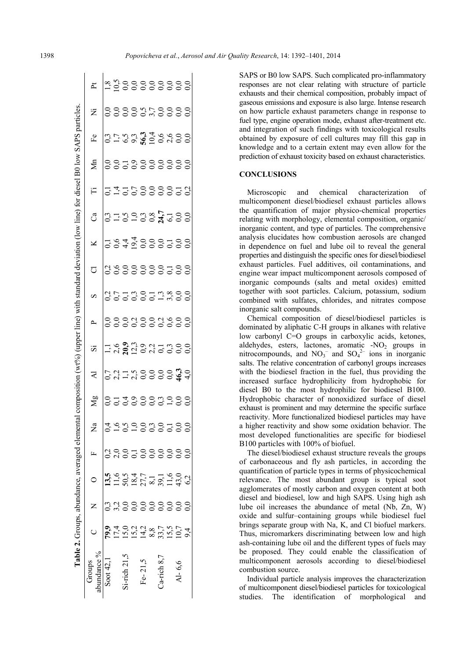|                             |                           |                      | Table 2. Groups, abundance, averaged elementa  |                                            |                         |                |                                                                                     | ine)                     |   | devis                                |                            | `م<br>me                   | diesel<br>،<br>for        | B0 low                  | <b>SAPS</b> particles                                                |                           |                         |
|-----------------------------|---------------------------|----------------------|------------------------------------------------|--------------------------------------------|-------------------------|----------------|-------------------------------------------------------------------------------------|--------------------------|---|--------------------------------------|----------------------------|----------------------------|---------------------------|-------------------------|----------------------------------------------------------------------|---------------------------|-------------------------|
| abundance $\%$<br>Gunoric   |                           |                      |                                                |                                            | уg                      | $\overline{z}$ | S                                                                                   | $\sim$                   | S | đ                                    | K                          | ී                          | Ë                         | Яn                      | ĒΘ                                                                   | Ż                         | Ħ,                      |
| Soot 42,1                   | 56                        |                      |                                                |                                            |                         |                |                                                                                     |                          |   |                                      |                            |                            |                           |                         |                                                                      |                           |                         |
|                             |                           |                      |                                                |                                            |                         |                |                                                                                     |                          |   |                                      |                            |                            |                           |                         |                                                                      |                           |                         |
| $i$ -rich 21,5              |                           | 0.0                  |                                                |                                            |                         |                |                                                                                     |                          |   |                                      |                            |                            |                           |                         |                                                                      |                           |                         |
|                             |                           |                      |                                                |                                            |                         |                |                                                                                     |                          |   |                                      |                            |                            |                           |                         |                                                                      |                           |                         |
| $Fe-21,5$                   | 1150287501<br>15021887501 |                      | <b>13.5</b><br>11.087711.00.2<br>11.08771.00.2 | 9 - 9 - 9 9 9 9 9 9<br>4 9 5 9 9 9 9 9 9 9 | 0000000000<br>000000000 |                | 1 0 <b>0</b> 1 0 0 1 0 0 0 0<br>1 0 <b>0</b> 1 0 0 1 0 0 0 0<br>1 0 0 1 0 1 0 0 0 0 | OOONOONOOO<br>OOONOONOOO |   | a go go go go go<br>a go go go go go | 00450000000<br>- 044000-00 | 01903851000<br>01903851000 | - 100000000<br>1110000001 | 0010000000<br>000000000 | 0 – 0 0 10 0 0 0 0 0 0<br>0 – 0 0 10 0 0 0 0 0<br>0 – 0 0 10 0 0 0 0 | 00000m00000<br>0000mL0000 | 1000000000<br>100000000 |
|                             |                           | 0,0                  |                                                |                                            |                         |                |                                                                                     |                          |   |                                      |                            |                            |                           |                         |                                                                      |                           |                         |
| $2a$ -rich $8,7$            |                           |                      |                                                |                                            |                         |                |                                                                                     |                          |   |                                      |                            |                            |                           |                         |                                                                      |                           |                         |
|                             |                           |                      |                                                |                                            |                         |                |                                                                                     |                          |   |                                      |                            |                            |                           |                         |                                                                      |                           |                         |
| $\overline{\text{Al}}$ -6,6 |                           | 0,0,0,0<br>0,0,0,0,0 |                                                |                                            |                         |                |                                                                                     |                          |   |                                      |                            |                            |                           |                         |                                                                      |                           |                         |
|                             | $\lambda_4$               |                      |                                                |                                            |                         |                |                                                                                     |                          |   |                                      |                            |                            |                           |                         |                                                                      |                           |                         |
|                             |                           |                      |                                                |                                            |                         |                |                                                                                     |                          |   |                                      |                            |                            |                           |                         |                                                                      |                           |                         |

SAPS or B0 low SAPS. Such complicated pro-inflammatory responses are not clear relating with structure of particle exhausts and their chemical composition, probably impact of gaseous emissions and exposure is also large. Intense research on how particle exhaust parameters change in response to fuel type, engine operation mode, exhaust after-treatment etc. and integration of such findings with toxicological results obtained by exposure of cell cultures may fill this gap in knowledge and to a certain extent may even allow for the prediction of exhaust toxicity based on exhaust characteristics.

# **CONCLUSIONS**

Microscopic and chemical characterization of multicomponent diesel/biodiesel exhaust particles allows the quantification of major physico-chemical properties relating with morphology, elemental composition, organic/ inorganic content, and type of particles. The comprehensive analysis elucidates how combustion aerosols are changed in dependence on fuel and lube oil to reveal the general properties and distinguish the specific ones for diesel/biodiesel exhaust particles. Fuel additives, oil contaminations, and engine wear impact multicomponent aerosols composed of inorganic compounds (salts and metal oxides) emitted together with soot particles. Calcium, potassium, sodium combined with sulfates, chlorides, and nitrates compose inorganic salt compounds.

Chemical composition of diesel/biodiesel particles is dominated by aliphatic C-H groups in alkanes with relative low carbonyl C=O groups in carboxylic acids, ketones, aldehydes, esters, lactones, aromatic -NO<sub>2</sub> groups in nitrocompounds, and  $NO_3^-$  and  $SO_4^{2-}$  ions in inorganic salts. The relative concentration of carbonyl groups increases with the biodiesel fraction in the fuel, thus providing the increased surface hydrophilicity from hydrophobic for diesel B0 to the most hydrophilic for biodiesel B100. Hydrophobic character of nonoxidized surface of diesel exhaust is prominent and may determine the specific surface reactivity. More functionalized biodiesel particles may have a higher reactivity and show some oxidation behavior. The most developed functionalities are specific for biodiesel B100 particles with 100% of biofuel.

The diesel/biodiesel exhaust structure reveals the groups of carbonaceous and fly ash particles, in according the quantification of particle types in terms of physicochemical relevance. The most abundant group is typical soot agglomerates of mostly carbon and oxygen content at both diesel and biodiesel, low and high SAPS. Using high ash lube oil increases the abundance of metal (Nb, Zn, W) oxide and sulfur–containing groups while biodiesel fuel brings separate group with Na, K, and Cl biofuel markers. Thus, micromarkers discriminating between low and high ash-containing lube oil and the different types of fuels may be proposed. They could enable the classification of multicomponent aerosols according to diesel/biodiesel combustion source.

Individual particle analysis improves the characterization of multicomponent diesel/biodiesel particles for toxicological studies. The identification of morphological and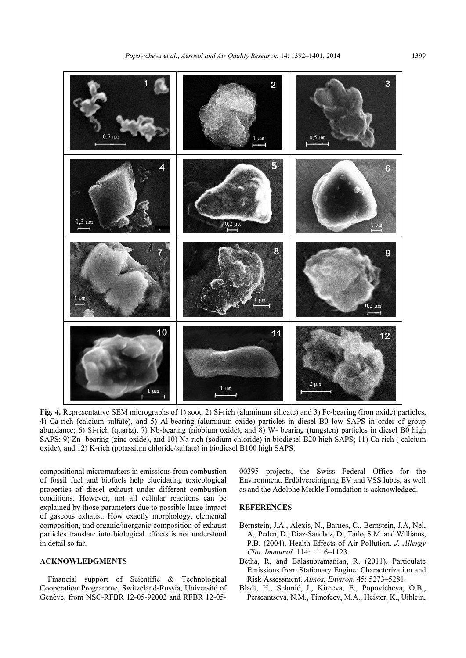

**Fig. 4.** Representative SEM micrographs of 1) soot, 2) Si-rich (aluminum silicate) and 3) Fe-bearing (iron oxide) particles, 4) Ca-rich (calcium sulfate), and 5) Al-bearing (aluminum oxide) particles in diesel B0 low SAPS in order of group abundance; 6) Si-rich (quartz), 7) Nb-bearing (niobium oxide), and 8) W- bearing (tungsten) particles in diesel B0 high SAPS; 9) Zn- bearing (zinc oxide), and 10) Na-rich (sodium chloride) in biodiesel B20 high SAPS; 11) Ca-rich ( calcium oxide), and 12) K-rich (potassium chloride/sulfate) in biodiesel B100 high SAPS.

compositional micromarkers in emissions from combustion of fossil fuel and biofuels help elucidating toxicological properties of diesel exhaust under different combustion conditions. However, not all cellular reactions can be explained by those parameters due to possible large impact of gaseous exhaust. How exactly morphology, elemental composition, and organic/inorganic composition of exhaust particles translate into biological effects is not understood in detail so far.

# **ACKNOWLEDGMENTS**

Financial support of Scientific & Technological Cooperation Programme, Switzeland-Russia, Université of Genève, from NSC-RFBR 12-05-92002 and RFBR 12-0500395 projects, the Swiss Federal Office for the Environment, Erdölvereinigung EV and VSS lubes, as well as and the Adolphe Merkle Foundation is acknowledged.

## **REFERENCES**

- Bernstein, J.A., Alexis, N., Barnes, C., Bernstein, J.A, Nel, A., Peden, D., Diaz-Sanchez, D., Tarlo, S.M. and Williams, P.B. (2004). Health Effects of Air Pollution. *J. Allergy Clin. Immunol.* 114: 1116–1123.
- Betha, R. and Balasubramanian, R. (2011). Particulate Emissions from Stationary Engine: Characterization and Risk Assessment. *Atmos. Environ.* 45: 5273–5281.
- Bladt, H., Schmid, J., Kireeva, E., Popovicheva, O.B., Perseantseva, N.M., Timofeev, M.A., Heister, K., Uihlein,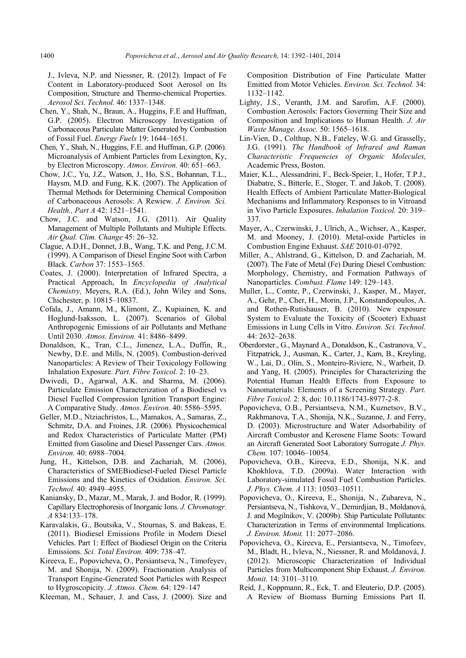J., Ivleva, N.P. and Niessner, R. (2012). Impact of Fe Content in Laboratory-produced Soot Aerosol on Its Composition, Structure and Thermo-chemical Properties. *Aerosol Sci. Technol.* 46: 1337–1348.

- Chen, Y., Shah, N., Braun, A., Huggins, F.E and Huffman, G.P. (2005). Electron Microscopy Investigation of Carbonaceous Particulate Matter Generated by Combustion of Fossil Fuel. *Energy Fuels* 19: 1644–1651.
- Chen, Y., Shah, N., Huggins, F.E. and Huffman, G.P. (2006). Microanalysis of Ambient Particles from Lexington, Ky, by Electron Microscopy. *Atmos. Environ.* 40: 651–663.
- Chow, J.C., Yu, J.Z., Watson, J., Ho, S.S., Bohannan, T.L., Haysm, M.D. and Fung, K.K. (2007). The Application of Thermal Methods for Determining Chemical Composition of Carbonaceous Aerosols: A Rewiew*. J. Environ. Sci. Health., Part A* 42: 1521–1541.
- Chow, J.C. and Watson, J.G. (2011). Air Quality Management of Multiple Pollutants and Multiple Effects. *Air Qual. Clim. Change* 45: 26–32.
- Clague, A.D.H., Donnet, J.B., Wang, T.K. and Peng, J.C.M. (1999). A Comparison of Diesel Engine Soot with Carbon Black. *Carbon* 37: 1553–1565.
- Coates, J. (2000). Interpretation of Infrared Spectra, a Practical Approach, In *Encyclopedia of Analytical Chemistry,* Meyers, R.A. (Ed.), John Wiley and Sons, Chichester, p. 10815–10837.
- Cofala, J., Amann, M., Klimont, Z., Kupiainen, K. and Hoglund-Isaksson, L. (2007). Scenarios of Global Anthropogenic Emissions of air Pollutants and Methane Until 2030. *Atmos. Environ.* 41: 8486–8499.
- Donaldson, K., Tran, C.L., Jimenez, L.A., Duffin, R., Newby, D.E. and Mills, N. (2005). Combustion-derived Nanoparticles: A Review of Their Toxicology Following Inhalation Exposure. *Part. Fibre Toxicol.* 2: 10–23.
- Dwivedi, D., Agarwal, A.K. and Sharma, M. (2006). Particulate Emission Characterization of a Biodiesel vs Diesel Fuelled Compression Ignition Transport Engine: A Comparative Study. *Atmos. Environ.* 40: 5586–5595.
- Geller, M.D., Ntziachristos, L., Mamakos, A., Samaras, Z., Schmitz, D.A. and Froines, J.R. (2006). Physicochemical and Redox Characteristics of Particulate Matter (PM) Emitted from Gasoline and Diesel Passenger Cars. *Atmos. Environ.* 40: 6988–7004.
- Jung, H., Kittelson, D.B. and Zachariah, M. (2006), Characteristics of SMEBiodiesel-Fueled Diesel Particle Emissions and the Kinetics of Oxidation. *Environ. Sci. Technol.* 40: 4949–4955.
- Kaniansky, D., Mazar, M., Marak, J. and Bodor, R. (1999). Capillary Electrophoresis of Inorganic Ions. *J. Chromatogr. A* 834:133–178.
- Karavalakis, G., Boutsika, V., Stournas, S. and Bakeas, E. (2011). Biodiesel Emissions Profile in Modern Diesel Vehicles. Part 1: Effect of Biodiesel Origin on the Criteria Emissions. *Sci. Total Environ.* 409: 738–47.
- Kireeva, E., Popovicheva, O., Persiantseva, N., Timofeyev, M. and Shonija, N. (2009). Fractionation Analysis of Transport Engine-Generated Soot Particles with Respect to Hygroscopicity. *J. Atmos. Chem.* 64: 129–147
- Kleeman, M., Schauer, J. and Cass, J. (2000). Size and

Composition Distribution of Fine Particulate Matter Emitted from Motor Vehicles. *Environ. Sci. Technol.* 34: 1132–1142.

- Lighty, J.S., Veranth, J.M. and Sarofim, A.F. (2000). Combustion Aerosols: Factors Governing Their Size and Composition and Implications to Human Health. *J. Air Waste Manage. Assoc.* 50: 1565–1618.
- Lin-Vien, D., Colthup, N.B., Fateley, W.G. and Grasselly, J.G. (1991). *The Handbook of Infrared and Raman Characteristic Frequencies of Organic Molecules,*  Academic Press, Boston.
- Maier, K.L., Alessandrini, F., Beck-Speier, I., Hofer, T.P.J., Diabatre, S., Bitterle, E., Stoger, T. and Jakob, T. (2008). Health Effects of Ambient Particulate Matter-Biological Mechanisms and Inflammatory Responses to in Vitroand in Vivo Particle Exposures. *Inhalation Toxicol.* 20: 319– 337.
- Mayer, A., Czerwinski, J., Ulrich, A., Wichser, A., Kasper, M. and Mooney, J. (2010). Metal-oxide Particles in Combustion Engine Exhaust. *SAE* 2010-01-0792.
- Miller, A., Ahlstrand, G., Kittelson, D. and Zachariah, M. (2007). The Fate of Metal (Fe) During Diesel Combustion: Morphology, Chemistry, and Formation Pathways of Nanoparticles. *Combust. Flame* 149: 129–143.
- Muller, L., Comte, P., Czerwinski, J., Kasper, M., Mayer, A., Gehr, P., Cher, H., Morin, J.P., Konstandopoulos, A. and Rothen-Rutishauser, B. (2010). New exposure System to Evaluate the Toxicity of (Scooter) Exhuast Emissions in Lung Cells in Vitro. *Environ. Sci. Technol.*  44: 2632–2638.
- Oberdorster., G., Maynard A., Donaldson, K., Castranova, V., Fitzpatrick, J., Ausman, K., Carter, J., Karn, B., Kreyling, W., Lai, D., Olin, S., Monteiro-Riviere, N., Warheit, D. and Yang, H. (2005). Principles for Characterizing the Potential Human Health Effects from Exposure to Nanomaterials: Elements of a Screening Strategy. *Part. Fibre Toxicol.* 2: 8, doi: 10.1186/1743-8977-2-8.
- Popovicheva, O.B., Persiantseva, N.M., Kuznetsov, B.V., Rakhmanova, T.A., Shonija, N.K., Suzanne, J. and Ferry, D. (2003). Microstructure and Water Adsorbability of Aircraft Combustor and Kerosene Flame Soots: Toward an Aircraft Generated Soot Laboratory Surrogate *J. Phys. Chem.* 107: 10046–10054.
- Popovicheva, O.B., Kireeva, E.D., Shonija, N.K. and Khokhlova, T.D. (2009a). Water Interaction with Laboratory-simulated Fossil Fuel Combustion Particles. *J. Phys. Chem. A* 113: 10503–10511.
- Popovicheva, O., Kireeva, E., Shonija, N., Zubareva, N., Persiantseva, N., Tishkova, V., Demirdjian, B., Moldanová, J. and Mogilnikov, V. (2009b). Ship Particulate Pollutants: Characterization in Terms of environmental Implications. *J. Environ. Monit.* 11: 2077–2086.
- Popovicheva, O., Kireeva, E., Persiantseva, N., Timofeev, M., Bladt, H., Ivleva, N., Niessner, R. and Moldanová, J. (2012). Microscopic Characterization of Individual Particles from Multicomponent Ship Exhaust. *J. Environ. Monit.* 14: 3101–3110.
- Reid, J., Koppmann, R., Eck, T. and Eleuterio, D.P. (2005). A Review of Biomass Burning Emissions Part II.